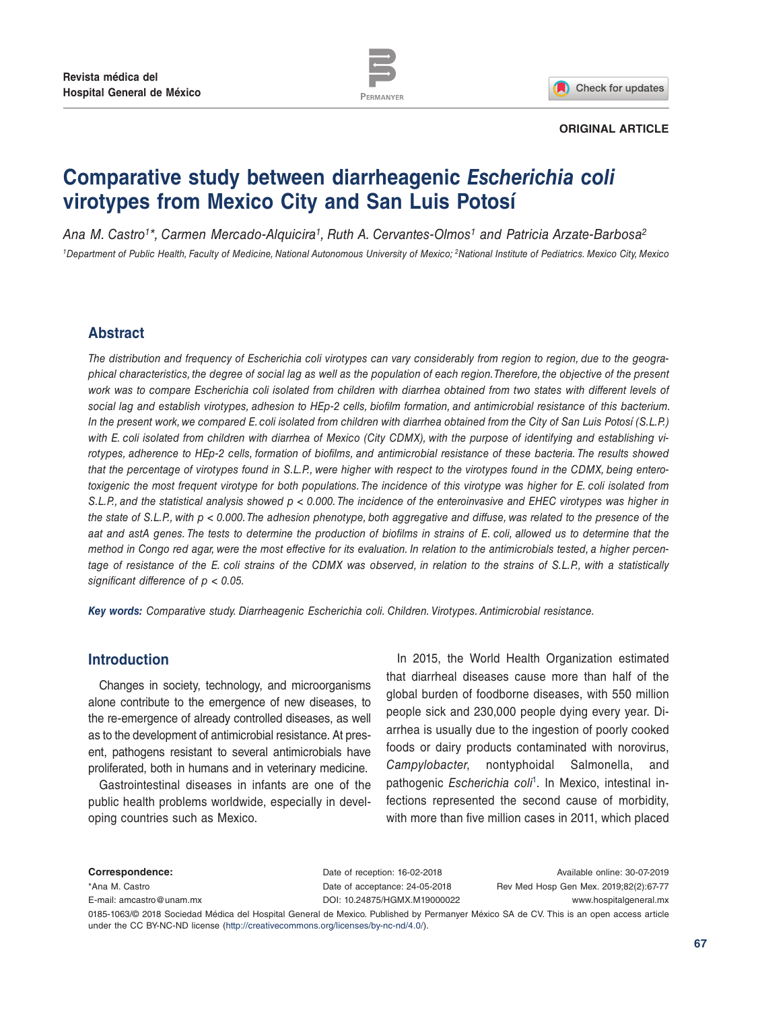

Check for updates

#### **ORIGINAL ARTICLE**

# **Comparative study between diarrheagenic** *Escherichia coli* **virotypes from Mexico City and San Luis Potosí**

*Ana M. Castro1\*, Carmen Mercado-Alquicira1, Ruth A. Cervantes-Olmos1 and Patricia Arzate-Barbosa2 1Department of Public Health, Faculty of Medicine, National Autonomous University of Mexico; 2National Institute of Pediatrics. Mexico City, Mexico*

# **Abstract**

*The distribution and frequency of Escherichia coli virotypes can vary considerably from region to region, due to the geographical characteristics, the degree of social lag as well as the population of each region. Therefore, the objective of the present work was to compare Escherichia coli isolated from children with diarrhea obtained from two states with different levels of social lag and establish virotypes, adhesion to HEp-2 cells, biofilm formation, and antimicrobial resistance of this bacterium. In the present work, we compared E. coli isolated from children with diarrhea obtained from the City of San Luis Potosí (S.L.P.) with E. coli isolated from children with diarrhea of Mexico (City CDMX), with the purpose of identifying and establishing virotypes, adherence to HEp-2 cells, formation of biofilms, and antimicrobial resistance of these bacteria. The results showed that the percentage of virotypes found in S.L.P., were higher with respect to the virotypes found in the CDMX, being enterotoxigenic the most frequent virotype for both populations. The incidence of this virotype was higher for E. coli isolated from S.L.P., and the statistical analysis showed p < 0.000. The incidence of the enteroinvasive and EHEC virotypes was higher in the state of S.L.P., with p < 0.000. The adhesion phenotype, both aggregative and diffuse, was related to the presence of the aat and astA genes. The tests to determine the production of biofilms in strains of E. coli, allowed us to determine that the method in Congo red agar, were the most effective for its evaluation. In relation to the antimicrobials tested, a higher percentage of resistance of the E. coli strains of the CDMX was observed, in relation to the strains of S.L.P., with a statistically significant difference of p < 0.05.*

*Key words: Comparative study. Diarrheagenic Escherichia coli. Children. Virotypes. Antimicrobial resistance.*

# **Introduction**

Changes in society, technology, and microorganisms alone contribute to the emergence of new diseases, to the re-emergence of already controlled diseases, as well as to the development of antimicrobial resistance. At present, pathogens resistant to several antimicrobials have proliferated, both in humans and in veterinary medicine.

Gastrointestinal diseases in infants are one of the public health problems worldwide, especially in developing countries such as Mexico.

In 2015, the World Health Organization estimated that diarrheal diseases cause more than half of the global burden of foodborne diseases, with 550 million people sick and 230,000 people dying every year. Diarrhea is usually due to the ingestion of poorly cooked foods or dairy products contaminated with norovirus, *Campylobacter*, nontyphoidal Salmonella, and pathogenic *Escherichia coli*[1.](#page-10-0) In Mexico, intestinal infections represented the second cause of morbidity, with more than five million cases in 2011, which placed

**Correspondence:** \*Ana M. Castro [E-mail: amcastro@unam.mx](mailto:amcastro%40unam.mx?subject=)

Date of reception: 16-02-2018 Date of acceptance: 24-05-2018 [DOI: 10.24875/HGMX.M19000022](http://dx.doi.org/10.24875/HGMX.M19000022)

Available online: 30-07-2019 Rev Med Hosp Gen Mex. 2019;82(2):67-77 www.hospitalgeneral.mx

0185-1063/© 2018 Sociedad Médica del Hospital General de Mexico. Published by Permanyer México SA de CV. This is an open access article under the CC BY-NC-ND license (http://creativecommons.org/licenses/by-nc-nd/4.0/).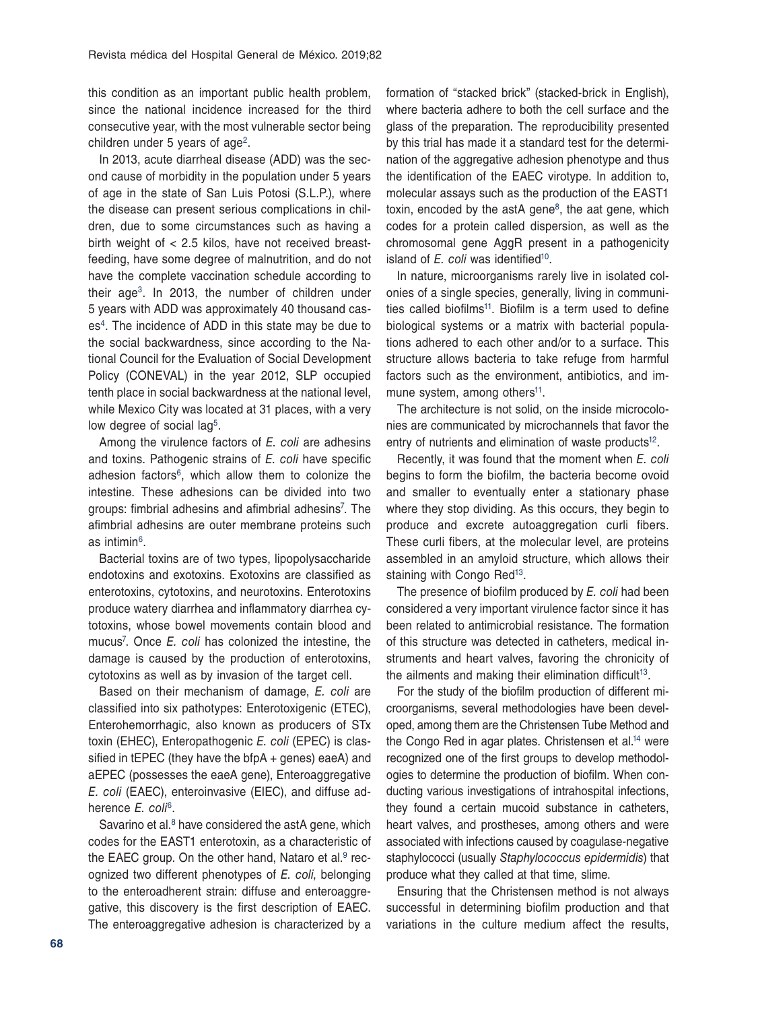this condition as an important public health problem, since the national incidence increased for the third consecutive year, with the most vulnerable sector being children under 5 years of age<sup>[2](#page-10-1)</sup>.

In 2013, acute diarrheal disease (ADD) was the second cause of morbidity in the population under 5 years of age in the state of San Luis Potosi (S.L.P.), where the disease can present serious complications in children, due to some circumstances such as having a birth weight of < 2.5 kilos, have not received breastfeeding, have some degree of malnutrition, and do not have the complete vaccination schedule according to their ag[e3.](#page-10-2) In 2013, the number of children under 5 years with ADD was approximately 40 thousand case[s4.](#page-10-3) The incidence of ADD in this state may be due to the social backwardness, since according to the National Council for the Evaluation of Social Development Policy (CONEVAL) in the year 2012, SLP occupied tenth place in social backwardness at the national level, while Mexico City was located at 31 places, with a very low degree of social lag<sup>[5](#page-10-4)</sup>.

Among the virulence factors of *E. coli* are adhesins and toxins. Pathogenic strains of *E. coli* have specific adhesion factors<sup>[6](#page-10-5)</sup>, which allow them to colonize the intestine. These adhesions can be divided into two groups: fimbrial adhesins and afimbrial adhesins<sup>[7](#page-10-6)</sup>. The afimbrial adhesins are outer membrane proteins such as intimin[6](#page-10-5).

Bacterial toxins are of two types, lipopolysaccharide endotoxins and exotoxins. Exotoxins are classified as enterotoxins, cytotoxins, and neurotoxins. Enterotoxins produce watery diarrhea and inflammatory diarrhea cytotoxins, whose bowel movements contain blood and mucu[s7](#page-10-6) . Once *E. coli* has colonized the intestine, the damage is caused by the production of enterotoxins, cytotoxins as well as by invasion of the target cell.

Based on their mechanism of damage, *E. coli* are classified into six pathotypes: Enterotoxigenic (ETEC), Enterohemorrhagic, also known as producers of STx toxin (EHEC), Enteropathogenic *E. coli* (EPEC) is classified in tEPEC (they have the bfpA + genes) eaeA) and aEPEC (possesses the eaeA gene), Enteroaggregative *E. coli* (EAEC), enteroinvasive (EIEC), and diffuse adherence *E. coli*[6](#page-10-5).

Savarino et al. $8$  have considered the astA gene, which codes for the EAST1 enterotoxin, as a characteristic of the EAEC group. On the other hand, Nataro et al. $9$  recognized two different phenotypes of *E. coli*, belonging to the enteroadherent strain: diffuse and enteroaggregative, this discovery is the first description of EAEC. The enteroaggregative adhesion is characterized by a formation of "stacked brick" (stacked-brick in English), where bacteria adhere to both the cell surface and the glass of the preparation. The reproducibility presented by this trial has made it a standard test for the determination of the aggregative adhesion phenotype and thus the identification of the EAEC virotype. In addition to, molecular assays such as the production of the EAST1 toxin, encoded by the astA gene<sup>8</sup>, the aat gene, which codes for a protein called dispersion, as well as the chromosomal gene AggR present in a pathogenicity island of *E. coli* was identified<sup>10</sup>.

In nature, microorganisms rarely live in isolated colonies of a single species, generally, living in communities called biofilms<sup>11</sup>. Biofilm is a term used to define biological systems or a matrix with bacterial populations adhered to each other and/or to a surface. This structure allows bacteria to take refuge from harmful factors such as the environment, antibiotics, and immune system, among others<sup>11</sup>.

The architecture is not solid, on the inside microcolonies are communicated by microchannels that favor the entry of nutrients and elimination of waste products<sup>12</sup>.

Recently, it was found that the moment when *E. coli* begins to form the biofilm, the bacteria become ovoid and smaller to eventually enter a stationary phase where they stop dividing. As this occurs, they begin to produce and excrete autoaggregation curli fibers. These curli fibers, at the molecular level, are proteins assembled in an amyloid structure, which allows their staining with Congo Red<sup>[13](#page-10-12)</sup>.

The presence of biofilm produced by *E. coli* had been considered a very important virulence factor since it has been related to antimicrobial resistance. The formation of this structure was detected in catheters, medical instruments and heart valves, favoring the chronicity of the ailments and making their elimination difficult<sup>[13](#page-10-12)</sup>.

For the study of the biofilm production of different microorganisms, several methodologies have been developed, among them are the Christensen Tube Method and the Congo Red in agar plates. Christensen et al.<sup>14</sup> were recognized one of the first groups to develop methodologies to determine the production of biofilm. When conducting various investigations of intrahospital infections, they found a certain mucoid substance in catheters, heart valves, and prostheses, among others and were associated with infections caused by coagulase-negative staphylococci (usually *Staphylococcus epidermidis*) that produce what they called at that time, slime.

Ensuring that the Christensen method is not always successful in determining biofilm production and that variations in the culture medium affect the results,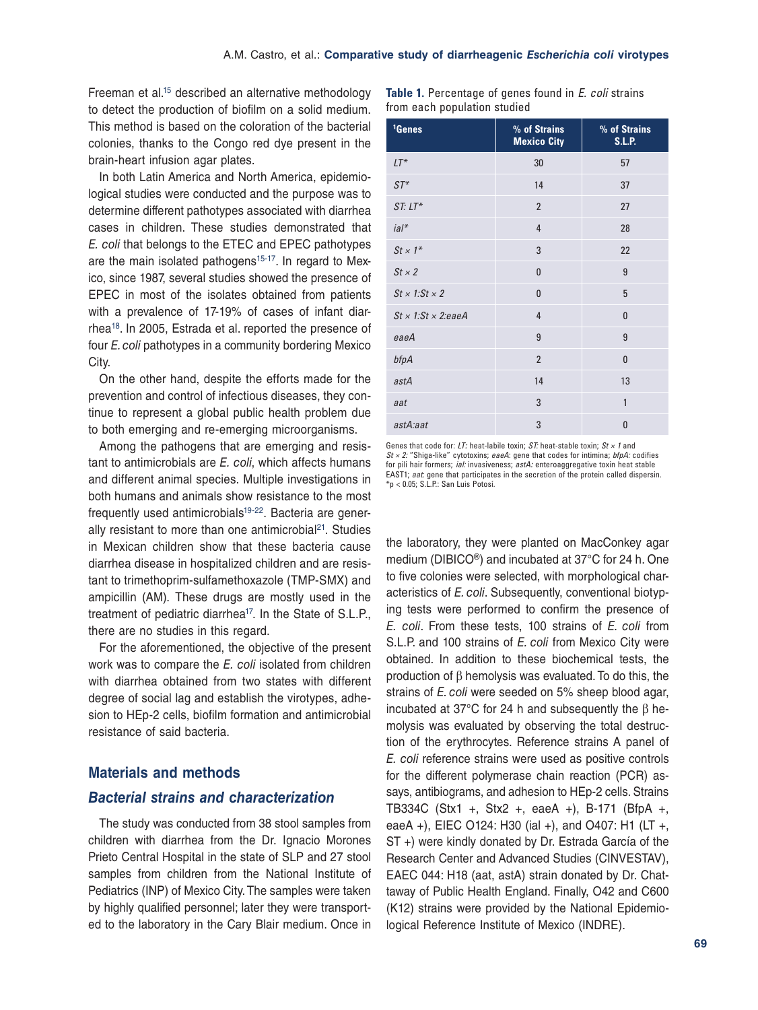Freeman et al[.15](#page-10-14) described an alternative methodology to detect the production of biofilm on a solid medium. This method is based on the coloration of the bacterial colonies, thanks to the Congo red dye present in the brain-heart infusion agar plates.

In both Latin America and North America, epidemiological studies were conducted and the purpose was to determine different pathotypes associated with diarrhea cases in children. These studies demonstrated that *E. coli* that belongs to the ETEC and EPEC pathotypes are the main isolated pathogens<sup>[15](#page-10-14)-17</sup>. In regard to Mexico, since 1987, several studies showed the presence of EPEC in most of the isolates obtained from patients with a prevalence of 17-19% of cases of infant diarrhea[18](#page-10-16). In 2005, Estrada et al. reported the presence of four *E. coli* pathotypes in a community bordering Mexico City.

On the other hand, despite the efforts made for the prevention and control of infectious diseases, they continue to represent a global public health problem due to both emerging and re-emerging microorganisms.

Among the pathogens that are emerging and resistant to antimicrobials are *E. coli*, which affects humans and different animal species. Multiple investigations in both humans and animals show resistance to the most frequently used antimicrobials<sup>19[-22](#page-10-18)</sup>. Bacteria are generally resistant to more than one antimicrobial $21$ . Studies in Mexican children show that these bacteria cause diarrhea disease in hospitalized children and are resistant to trimethoprim-sulfamethoxazole (TMP-SMX) and ampicillin (AM). These drugs are mostly used in the treatment of pediatric diarrhea<sup>17</sup>. In the State of S.L.P., there are no studies in this regard.

For the aforementioned, the objective of the present work was to compare the *E. coli* isolated from children with diarrhea obtained from two states with different degree of social lag and establish the virotypes, adhesion to HEp-2 cells, biofilm formation and antimicrobial resistance of said bacteria.

# **Materials and methods**

#### *Bacterial strains and characterization*

The study was conducted from 38 stool samples from children with diarrhea from the Dr. Ignacio Morones Prieto Central Hospital in the state of SLP and 27 stool samples from children from the National Institute of Pediatrics (INP) of Mexico City. The samples were taken by highly qualified personnel; later they were transported to the laboratory in the Cary Blair medium. Once in

|                              |  |  | <b>Table 1.</b> Percentage of genes found in <i>E. coli</i> strains |
|------------------------------|--|--|---------------------------------------------------------------------|
| from each population studied |  |  |                                                                     |

| <sup>1</sup> Genes             | % of Strains<br><b>Mexico City</b> | % of Strains<br><b>S.L.P.</b> |
|--------------------------------|------------------------------------|-------------------------------|
| $LT^*$                         | 30                                 | 57                            |
| $ST^*$                         | 14                                 | 37                            |
| $ST: LT*$                      | $\overline{2}$                     | 27                            |
| ia'                            | $\overline{4}$                     | 28                            |
| $St \times 1^*$                | 3                                  | 22                            |
| $St \times 2$                  | $\bf{0}$                           | 9                             |
| $St \times 1:St \times 2$      | 0                                  | 5                             |
| $St \times 1:St \times 2:eaeA$ | 4                                  | $\bf{0}$                      |
| eaeA                           | 9                                  | 9                             |
| bfpA                           | $\overline{2}$                     | $\mathbf{0}$                  |
| astA                           | 14                                 | 13                            |
| aat                            | 3                                  | $\mathbf{1}$                  |
| astA:aat                       | 3                                  | $\bf{0}$                      |

Genes that code for: *LT:* heat‑labile toxin; *ST:* heat‑stable toxin; *St × 1* and *St × 2:* "Shiga‑like" cytotoxins; *eaeA*: gene that codes for intimina; *bfpA:* codifies for pili hair formers; *ial:* invasiveness; *astA:* enteroaggregative toxin heat stable EAST1; *aat*: gene that participates in the secretion of the protein called dispersin. \*p < 0.05; S.L.P.: San Luis Potosí.

the laboratory, they were planted on MacConkey agar medium (DIBICO®) and incubated at 37°C for 24 h. One to five colonies were selected, with morphological characteristics of *E. coli*. Subsequently, conventional biotyping tests were performed to confirm the presence of *E. coli*. From these tests, 100 strains of *E. coli* from S.L.P. and 100 strains of *E. coli* from Mexico City were obtained. In addition to these biochemical tests, the production of β hemolysis was evaluated. To do this, the strains of *E. coli* were seeded on 5% sheep blood agar, incubated at 37°C for 24 h and subsequently the β hemolysis was evaluated by observing the total destruction of the erythrocytes. Reference strains A panel of *E. coli* reference strains were used as positive controls for the different polymerase chain reaction (PCR) assays, antibiograms, and adhesion to HEp-2 cells. Strains TB334C (Stx1 +, Stx2 +, eaeA +), B-171 (BfpA +, eaeA +), EIEC O124: H30 (ial +), and O407: H1 (LT +, ST +) were kindly donated by Dr. Estrada García of the Research Center and Advanced Studies (CINVESTAV), EAEC 044: H18 (aat, astA) strain donated by Dr. Chattaway of Public Health England. Finally, O42 and C600 (K12) strains were provided by the National Epidemiological Reference Institute of Mexico (INDRE).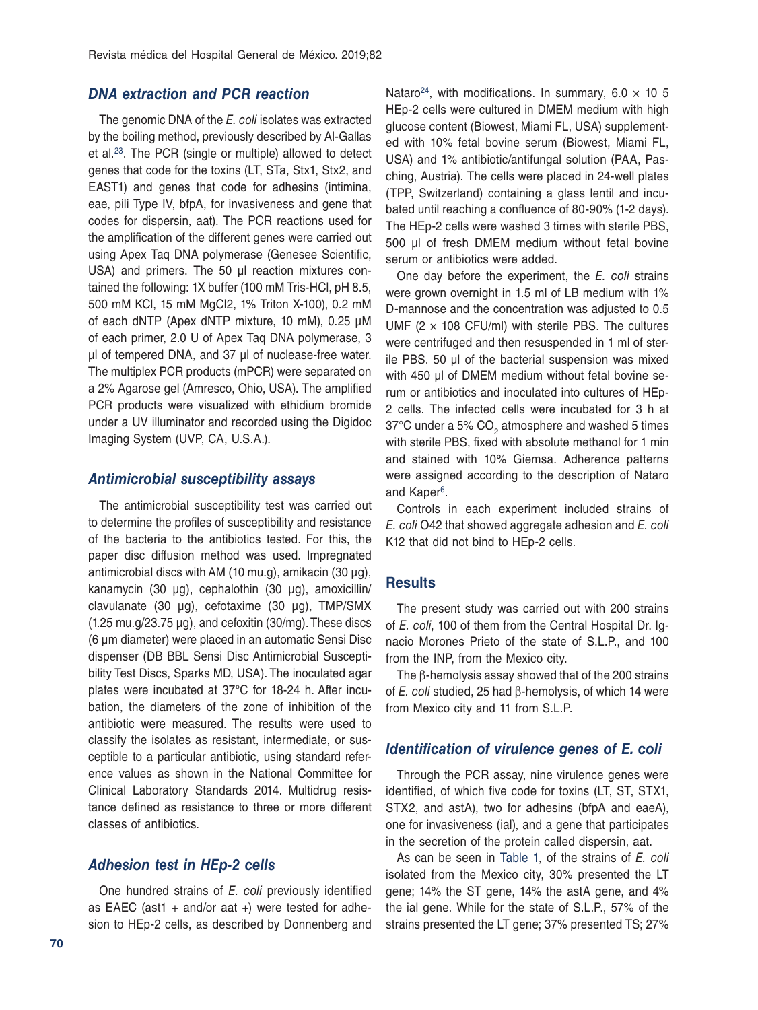## *DNA extraction and PCR reaction*

The genomic DNA of the *E. coli* isolates was extracted by the boiling method, previously described by Al-Gallas et al.[23.](#page-10-20) The PCR (single or multiple) allowed to detect genes that code for the toxins (LT, STa, Stx1, Stx2, and EAST1) and genes that code for adhesins (intimina, eae, pili Type IV, bfpA, for invasiveness and gene that codes for dispersin, aat). The PCR reactions used for the amplification of the different genes were carried out using Apex Taq DNA polymerase (Genesee Scientific, USA) and primers. The 50 µl reaction mixtures contained the following: 1X buffer (100 mM Tris-HCl, pH 8.5, 500 mM KCl, 15 mM MgCl2, 1% Triton X-100), 0.2 mM of each dNTP (Apex dNTP mixture, 10 mM), 0.25 µM of each primer, 2.0 U of Apex Taq DNA polymerase, 3 µl of tempered DNA, and 37 µl of nuclease-free water. The multiplex PCR products (mPCR) were separated on a 2% Agarose gel (Amresco, Ohio, USA). The amplified PCR products were visualized with ethidium bromide under a UV illuminator and recorded using the Digidoc Imaging System (UVP, CA, U.S.A.).

#### *Antimicrobial susceptibility assays*

The antimicrobial susceptibility test was carried out to determine the profiles of susceptibility and resistance of the bacteria to the antibiotics tested. For this, the paper disc diffusion method was used. Impregnated antimicrobial discs with AM (10 mu.g), amikacin (30  $\mu$ g), kanamycin (30 µg), cephalothin (30 µg), amoxicillin/ clavulanate (30 µg), cefotaxime (30 μg), TMP/SMX (1.25 mu.g/23.75 µg), and cefoxitin (30/mg). These discs (6 µm diameter) were placed in an automatic Sensi Disc dispenser (DB BBL Sensi Disc Antimicrobial Susceptibility Test Discs, Sparks MD, USA). The inoculated agar plates were incubated at 37°C for 18-24 h. After incubation, the diameters of the zone of inhibition of the antibiotic were measured. The results were used to classify the isolates as resistant, intermediate, or susceptible to a particular antibiotic, using standard reference values as shown in the National Committee for Clinical Laboratory Standards 2014. Multidrug resistance defined as resistance to three or more different classes of antibiotics.

#### *Adhesion test in HEp-2 cells*

One hundred strains of *E. coli* previously identified as EAEC (ast1 + and/or aat +) were tested for adhesion to HEp-2 cells, as described by Donnenberg and Nataro<sup>[24](#page-10-21)</sup>, with modifications. In summary,  $6.0 \times 10^{-5}$ HEp-2 cells were cultured in DMEM medium with high glucose content (Biowest, Miami FL, USA) supplemented with 10% fetal bovine serum (Biowest, Miami FL, USA) and 1% antibiotic/antifungal solution (PAA, Pasching, Austria). The cells were placed in 24-well plates (TPP, Switzerland) containing a glass lentil and incubated until reaching a confluence of 80-90% (1-2 days). The HEp-2 cells were washed 3 times with sterile PBS, 500 µl of fresh DMEM medium without fetal bovine serum or antibiotics were added.

One day before the experiment, the *E. coli* strains were grown overnight in 1.5 ml of LB medium with 1% D-mannose and the concentration was adjusted to 0.5 UMF (2  $\times$  108 CFU/ml) with sterile PBS. The cultures were centrifuged and then resuspended in 1 ml of sterile PBS. 50 µl of the bacterial suspension was mixed with 450 µl of DMEM medium without fetal bovine serum or antibiotics and inoculated into cultures of HEp-2 cells. The infected cells were incubated for 3 h at  $37^{\circ}$ C under a 5% CO<sub>2</sub> atmosphere and washed 5 times with sterile PBS, fixed with absolute methanol for 1 min and stained with 10% Giemsa. Adherence patterns were assigned according to the description of Nataro and Kaper<sup>6</sup>.

Controls in each experiment included strains of *E. coli* O42 that showed aggregate adhesion and *E. coli* K12 that did not bind to HEp-2 cells.

#### **Results**

The present study was carried out with 200 strains of *E. coli*, 100 of them from the Central Hospital Dr. Ignacio Morones Prieto of the state of S.L.P., and 100 from the INP, from the Mexico city.

The β-hemolysis assay showed that of the 200 strains of *E. coli* studied, 25 had β-hemolysis, of which 14 were from Mexico city and 11 from S.L.P.

#### *Identification of virulence genes of E. coli*

Through the PCR assay, nine virulence genes were identified, of which five code for toxins (LT, ST, STX1, STX2, and astA), two for adhesins (bfpA and eaeA), one for invasiveness (ial), and a gene that participates in the secretion of the protein called dispersin, aat.

As can be seen in [Table 1](#page-4-0), of the strains of *E. coli* isolated from the Mexico city, 30% presented the LT gene; 14% the ST gene, 14% the astA gene, and 4% the ial gene. While for the state of S.L.P., 57% of the strains presented the LT gene; 37% presented TS; 27%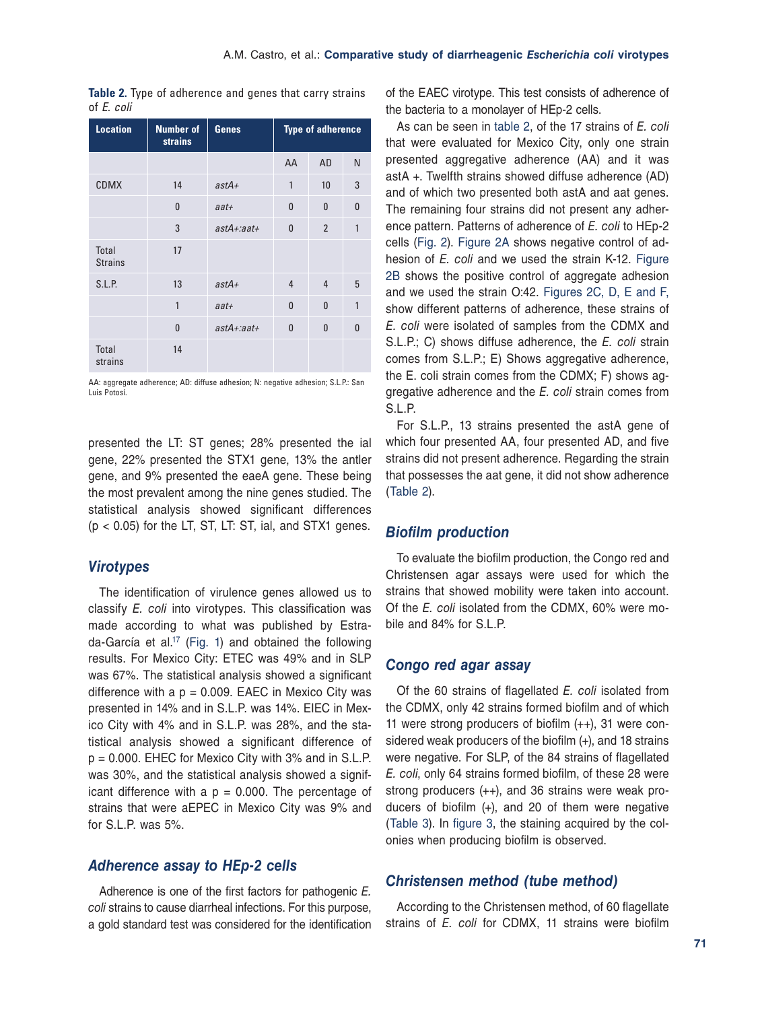<span id="page-4-0"></span>**Table 2.** Type of adherence and genes that carry strains of *E. coli*

| <b>Location</b>                | <b>Number of</b><br><b>strains</b> | <b>Genes</b>     | <b>Type of adherence</b> |                |              |
|--------------------------------|------------------------------------|------------------|--------------------------|----------------|--------------|
|                                |                                    |                  | AA                       | <b>AD</b>      | N            |
| <b>CDMX</b>                    | 14                                 | $astA+$          | $\mathbf{1}$             | 10             | 3            |
|                                | $\bf{0}$                           | $a$ at+          | $\bf{0}$                 | $\mathbf{0}$   | $\bf{0}$     |
|                                | 3                                  | $astA + : aat +$ | $\mathbf{0}$             | $\overline{2}$ | 1            |
| <b>Total</b><br><b>Strains</b> | 17                                 |                  |                          |                |              |
| S.L.P.                         | 13                                 | $astA+$          | $\overline{4}$           | $\overline{4}$ | 5            |
|                                | 1                                  | $a$ at+          | $\mathbf{0}$             | $\mathbf{0}$   | 1            |
|                                | $\mathbf{0}$                       | $astA + : aat +$ | $\mathbf{0}$             | $\mathbf{0}$   | $\mathbf{0}$ |
| <b>Total</b><br>strains        | 14                                 |                  |                          |                |              |

AA: aggregate adherence; AD: diffuse adhesion; N: negative adhesion; S.L.P.: San Luis Potosí.

presented the LT: ST genes; 28% presented the ial gene, 22% presented the STX1 gene, 13% the antler gene, and 9% presented the eaeA gene. These being the most prevalent among the nine genes studied. The statistical analysis showed significant differences  $(p < 0.05)$  for the LT, ST, LT: ST, ial, and STX1 genes.

## *Virotypes*

The identification of virulence genes allowed us to classify *E. coli* into virotypes. This classification was made according to what was published by Estrada-García et al.<sup>17</sup> (Fig. 1) and obtained the following results. For Mexico City: ETEC was 49% and in SLP was 67%. The statistical analysis showed a significant difference with a  $p = 0.009$ . EAEC in Mexico City was presented in 14% and in S.L.P. was 14%. EIEC in Mexico City with 4% and in S.L.P. was 28%, and the statistical analysis showed a significant difference of p = 0.000. EHEC for Mexico City with 3% and in S.L.P. was 30%, and the statistical analysis showed a significant difference with a  $p = 0.000$ . The percentage of strains that were aEPEC in Mexico City was 9% and for S.L.P. was 5%.

## *Adherence assay to HEp-2 cells*

Adherence is one of the first factors for pathogenic *E. coli* strains to cause diarrheal infections. For this purpose, a gold standard test was considered for the identification

of the EAEC virotype. This test consists of adherence of the bacteria to a monolayer of HEp-2 cells.

As can be seen in table 2, of the 17 strains of *E. coli*  that were evaluated for Mexico City, only one strain presented aggregative adherence (AA) and it was astA +. Twelfth strains showed diffuse adherence (AD) and of which two presented both astA and aat genes. The remaining four strains did not present any adherence pattern. Patterns of adherence of *E. coli* to HEp-2 cells [\(Fig. 2](#page-5-0)). [Figure 2A](#page-5-0) shows negative control of adhesion of *E. coli* and we used the strain K-12. [Figure](#page-5-0)  [2B](#page-5-0) shows the positive control of aggregate adhesion and we used the strain O:42. [Figures 2C, D, E and F,](#page-5-0)  show different patterns of adherence, these strains of *E. coli* were isolated of samples from the CDMX and S.L.P.; C) shows diffuse adherence, the *E. coli* strain comes from S.L.P.; E) Shows aggregative adherence, the E. coli strain comes from the CDMX; F) shows aggregative adherence and the *E. coli* strain comes from S.L.P.

For S.L.P., 13 strains presented the astA gene of which four presented AA, four presented AD, and five strains did not present adherence. Regarding the strain that possesses the aat gene, it did not show adherence (Table 2).

#### *Biofilm production*

To evaluate the biofilm production, the Congo red and Christensen agar assays were used for which the strains that showed mobility were taken into account. Of the *E. coli* isolated from the CDMX, 60% were mobile and 84% for S.L.P.

## *Congo red agar assay*

Of the 60 strains of flagellated *E. coli* isolated from the CDMX, only 42 strains formed biofilm and of which 11 were strong producers of biofilm (++), 31 were considered weak producers of the biofilm (+), and 18 strains were negative. For SLP, of the 84 strains of flagellated *E. coli*, only 64 strains formed biofilm, of these 28 were strong producers (++), and 36 strains were weak producers of biofilm (+), and 20 of them were negative ([Table 3\)](#page-5-0). In [figure 3](#page-6-0), the staining acquired by the colonies when producing biofilm is observed.

# *Christensen method (tube method)*

According to the Christensen method, of 60 flagellate strains of *E. coli* for CDMX, 11 strains were biofilm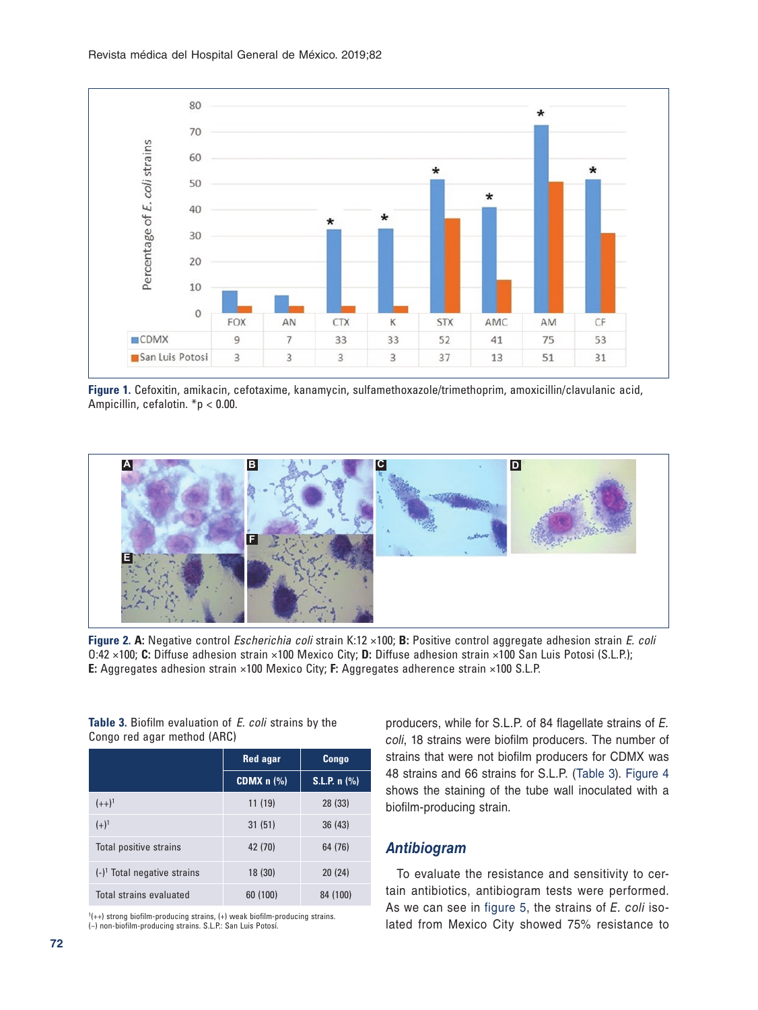<span id="page-5-0"></span>

**Figure 1.** Cefoxitin, amikacin, cefotaxime, kanamycin, sulfamethoxazole/trimethoprim, amoxicillin/clavulanic acid, Ampicillin, cefalotin. \*p < 0.00.



**Figure 2. A:** Negative control *Escherichia coli* strain K:12 ×100; **B:** Positive control aggregate adhesion strain *E. coli*  O:42 ×100; **C:** Diffuse adhesion strain ×100 Mexico City; **D:** Diffuse adhesion strain ×100 San Luis Potosi (S.L.P.); **E:** Aggregates adhesion strain ×100 Mexico City; **F:** Aggregates adherence strain ×100 S.L.P.

|                                | <b>Red agar</b> | Congo          |  |
|--------------------------------|-----------------|----------------|--|
|                                | CDMX $n$ $(\%)$ | $S.L.P. n$ (%) |  |
| $(++)^1$                       | 11(19)          | 28 (33)        |  |
| $(+)^1$                        | 31(51)          | 36(43)         |  |
| Total positive strains         | 42 (70)         | 64 (76)        |  |
| $(-)^1$ Total negative strains | 18(30)          | 20(24)         |  |
| Total strains evaluated        | 60 (100)        | 84 (100)       |  |

**Table 3.** Biofilm evaluation of *E. coli* strains by the

Congo red agar method (ARC)

1 (++) strong biofilm‑producing strains, (+) weak biofilm‑producing strains. (−) non‑biofilm‑producing strains. S.L.P.: San Luis Potosí.

producers, while for S.L.P. of 84 flagellate strains of *E. coli*, 18 strains were biofilm producers. The number of strains that were not biofilm producers for CDMX was 48 strains and 66 strains for S.L.P. (Table 3). [Figure 4](#page-6-0)  shows the staining of the tube wall inoculated with a biofilm-producing strain.

# *Antibiogram*

To evaluate the resistance and sensitivity to certain antibiotics, antibiogram tests were performed. As we can see in [figure 5,](#page-7-0) the strains of *E. coli* isolated from Mexico City showed 75% resistance to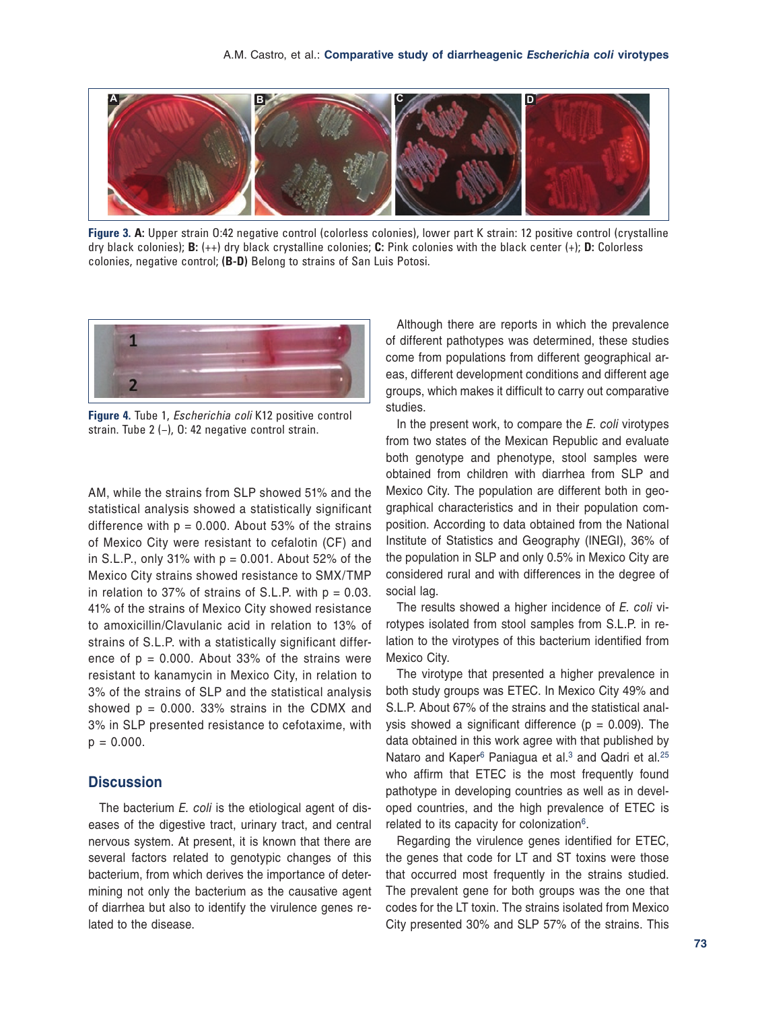<span id="page-6-0"></span>

**Figure 3. A:** Upper strain O:42 negative control (colorless colonies), lower part K strain: 12 positive control (crystalline dry black colonies); **B:** (++) dry black crystalline colonies; **C:** Pink colonies with the black center (+); **D:** Colorless colonies, negative control; **(B-D)** Belong to strains of San Luis Potosi.



**Figure 4.** Tube 1, *Escherichia coli* K12 positive control strain. Tube 2 (−), O: 42 negative control strain.

AM, while the strains from SLP showed 51% and the statistical analysis showed a statistically significant difference with  $p = 0.000$ . About 53% of the strains of Mexico City were resistant to cefalotin (CF) and in S.L.P., only 31% with  $p = 0.001$ . About 52% of the Mexico City strains showed resistance to SMX/TMP in relation to 37% of strains of S.L.P. with  $p = 0.03$ . 41% of the strains of Mexico City showed resistance to amoxicillin/Clavulanic acid in relation to 13% of strains of S.L.P. with a statistically significant difference of  $p = 0.000$ . About 33% of the strains were resistant to kanamycin in Mexico City, in relation to 3% of the strains of SLP and the statistical analysis showed  $p = 0.000$ . 33% strains in the CDMX and 3% in SLP presented resistance to cefotaxime, with  $p = 0.000$ .

## **Discussion**

The bacterium *E. coli* is the etiological agent of diseases of the digestive tract, urinary tract, and central nervous system. At present, it is known that there are several factors related to genotypic changes of this bacterium, from which derives the importance of determining not only the bacterium as the causative agent of diarrhea but also to identify the virulence genes related to the disease.

Although there are reports in which the prevalence of different pathotypes was determined, these studies come from populations from different geographical areas, different development conditions and different age groups, which makes it difficult to carry out comparative studies.

In the present work, to compare the *E. coli* virotypes from two states of the Mexican Republic and evaluate both genotype and phenotype, stool samples were obtained from children with diarrhea from SLP and Mexico City. The population are different both in geographical characteristics and in their population composition. According to data obtained from the National Institute of Statistics and Geography (INEGI), 36% of the population in SLP and only 0.5% in Mexico City are considered rural and with differences in the degree of social lag.

The results showed a higher incidence of *E. coli* virotypes isolated from stool samples from S.L.P. in relation to the virotypes of this bacterium identified from Mexico City.

The virotype that presented a higher prevalence in both study groups was ETEC. In Mexico City 49% and S.L.P. About 67% of the strains and the statistical analysis showed a significant difference ( $p = 0.009$ ). The data obtained in this work agree with that published by Nataro and Kaper<sup>6</sup> Paniagua et al.<sup>[3](#page-10-2)</sup> and Qadri et al.<sup>[25](#page-10-22)</sup> who affirm that ETEC is the most frequently found pathotype in developing countries as well as in developed countries, and the high prevalence of ETEC is related to its capacity for colonization<sup>6</sup>.

Regarding the virulence genes identified for ETEC, the genes that code for LT and ST toxins were those that occurred most frequently in the strains studied. The prevalent gene for both groups was the one that codes for the LT toxin. The strains isolated from Mexico City presented 30% and SLP 57% of the strains. This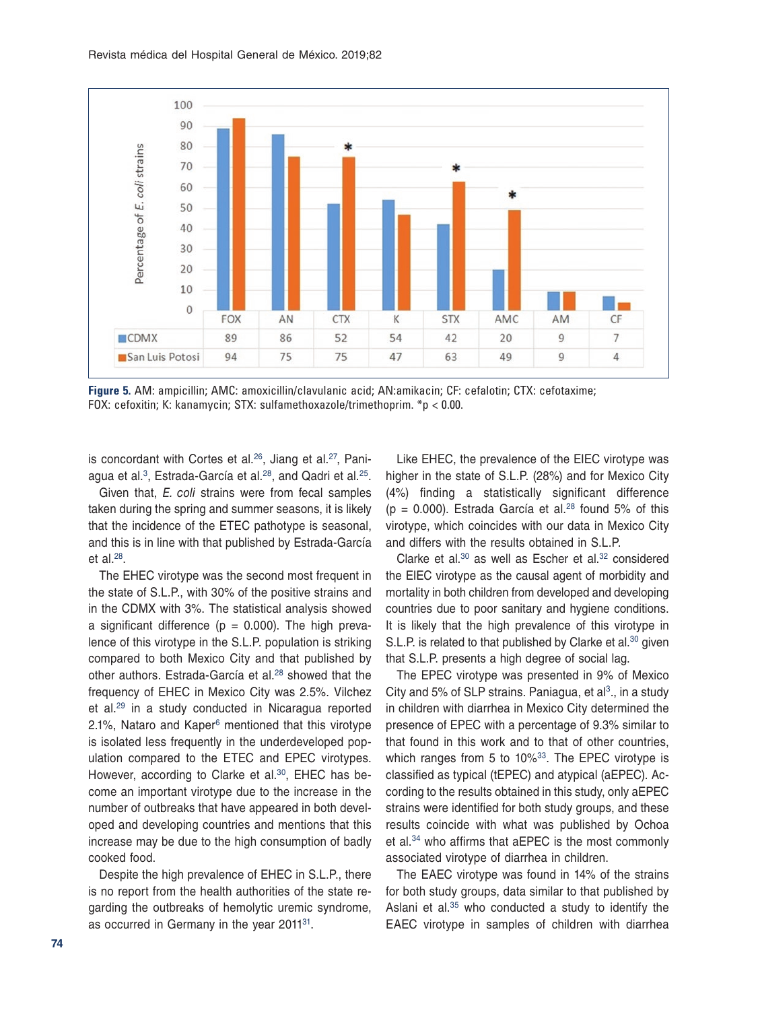<span id="page-7-0"></span>

**Figure 5.** AM: ampicillin; AMC: amoxicillin/clavulanic acid; AN:amikacin; CF: cefalotin; CTX: cefotaxime; FOX: cefoxitin; K: kanamycin; STX: sulfamethoxazole/trimethoprim. \*p < 0.00.

is concordant with Cortes et al.<sup>[26](#page-10-23)</sup>, Jiang et al.<sup>27</sup>, Pani-agua et al.<sup>[3](#page-10-2)</sup>, Estrada-García et al.<sup>28</sup>, and Qadri et al.<sup>[25](#page-10-22)</sup>.

Given that, *E. coli* strains were from fecal samples taken during the spring and summer seasons, it is likely that the incidence of the ETEC pathotype is seasonal, and this is in line with that published by Estrada-García et al. $^{28}$ .

The EHEC virotype was the second most frequent in the state of S.L.P., with 30% of the positive strains and in the CDMX with 3%. The statistical analysis showed a significant difference ( $p = 0.000$ ). The high prevalence of this virotype in the S.L.P. population is striking compared to both Mexico City and that published by other authors. Estrada-García et al.<sup>28</sup> showed that the frequency of EHEC in Mexico City was 2.5%. Vilchez et al.[29](#page-10-26) in a study conducted in Nicaragua reported 2.1%, Nataro and Kape[r6](#page-10-5) mentioned that this virotype is isolated less frequently in the underdeveloped population compared to the ETEC and EPEC virotypes. However, according to Clarke et al.<sup>30</sup>, EHEC has become an important virotype due to the increase in the number of outbreaks that have appeared in both developed and developing countries and mentions that this increase may be due to the high consumption of badly cooked food.

Despite the high prevalence of EHEC in S.L.P., there is no report from the health authorities of the state regarding the outbreaks of hemolytic uremic syndrome, as occurred in Germany in the year 2011<sup>31</sup>.

Like EHEC, the prevalence of the EIEC virotype was higher in the state of S.L.P. (28%) and for Mexico City (4%) finding a statistically significant difference ( $p = 0.000$ ). Estrada García et al.<sup>28</sup> found 5% of this virotype, which coincides with our data in Mexico City and differs with the results obtained in S.L.P.

Clarke et al.<sup>30</sup> as well as Escher et al.<sup>32</sup> considered the EIEC virotype as the causal agent of morbidity and mortality in both children from developed and developing countries due to poor sanitary and hygiene conditions. It is likely that the high prevalence of this virotype in S.L.P. is related to that published by Clarke et al.<sup>30</sup> given that S.L.P. presents a high degree of social lag.

The EPEC virotype was presented in 9% of Mexico City and 5% of SLP strains. Paniagua, et  $al^3$ ., in a study in children with diarrhea in Mexico City determined the presence of EPEC with a percentage of 9.3% similar to that found in this work and to that of other countries, which ranges from 5 to 10%<sup>33</sup>. The EPEC virotype is classified as typical (tEPEC) and atypical (aEPEC). According to the results obtained in this study, only aEPEC strains were identified for both study groups, and these results coincide with what was published by Ochoa et al.[34](#page-10-31) who affirms that aEPEC is the most commonly associated virotype of diarrhea in children.

The EAEC virotype was found in 14% of the strains for both study groups, data similar to that published by Aslani et al.[35](#page-10-32) who conducted a study to identify the EAEC virotype in samples of children with diarrhea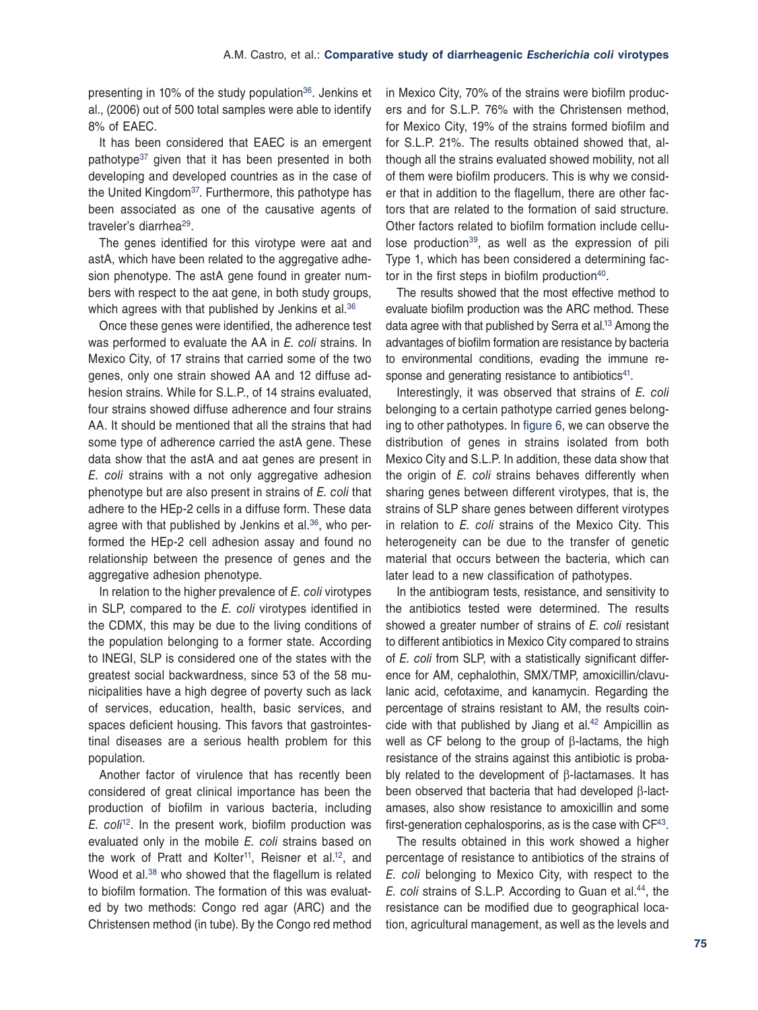presenting in 10% of the study population<sup>36</sup>. Jenkins et al., (2006) out of 500 total samples were able to identify 8% of EAEC.

It has been considered that EAEC is an emergent pathotype<sup>37</sup> given that it has been presented in both developing and developed countries as in the case of the United Kingdom<sup>37</sup>. Furthermore, this pathotype has been associated as one of the causative agents of traveler's diarrhea[29.](#page-10-26)

The genes identified for this virotype were aat and astA, which have been related to the aggregative adhesion phenotype. The astA gene found in greater numbers with respect to the aat gene, in both study groups, which agrees with that published by Jenkins et al.<sup>[36](#page-10-33)</sup>

Once these genes were identified, the adherence test was performed to evaluate the AA in *E. coli* strains. In Mexico City, of 17 strains that carried some of the two genes, only one strain showed AA and 12 diffuse adhesion strains. While for S.L.P., of 14 strains evaluated, four strains showed diffuse adherence and four strains AA. It should be mentioned that all the strains that had some type of adherence carried the astA gene. These data show that the astA and aat genes are present in *E. coli* strains with a not only aggregative adhesion phenotype but are also present in strains of *E. coli* that adhere to the HEp-2 cells in a diffuse form. These data agree with that published by Jenkins et al.<sup>[36](#page-10-33)</sup>, who performed the HEp-2 cell adhesion assay and found no relationship between the presence of genes and the aggregative adhesion phenotype.

In relation to the higher prevalence of *E. coli* virotypes in SLP, compared to the *E. coli* virotypes identified in the CDMX, this may be due to the living conditions of the population belonging to a former state. According to INEGI, SLP is considered one of the states with the greatest social backwardness, since 53 of the 58 municipalities have a high degree of poverty such as lack of services, education, health, basic services, and spaces deficient housing. This favors that gastrointestinal diseases are a serious health problem for this population.

Another factor of virulence that has recently been considered of great clinical importance has been the production of biofilm in various bacteria, including *E. coli*<sup>12</sup>. In the present work, biofilm production was evaluated only in the mobile *E. coli* strains based on the work of Pratt and Kolter<sup>11</sup>, Reisner et al.<sup>12</sup>, and Wood et al.<sup>38</sup> who showed that the flagellum is related to biofilm formation. The formation of this was evaluated by two methods: Congo red agar (ARC) and the Christensen method (in tube). By the Congo red method

in Mexico City, 70% of the strains were biofilm producers and for S.L.P. 76% with the Christensen method, for Mexico City, 19% of the strains formed biofilm and for S.L.P. 21%. The results obtained showed that, although all the strains evaluated showed mobility, not all of them were biofilm producers. This is why we consider that in addition to the flagellum, there are other factors that are related to the formation of said structure. Other factors related to biofilm formation include cellulose production<sup>39</sup>, as well as the expression of pili Type 1, which has been considered a determining factor in the first steps in biofilm production $40$ .

The results showed that the most effective method to evaluate biofilm production was the ARC method. These data agree with that published by Serra et al[.13](#page-10-12) Among the advantages of biofilm formation are resistance by bacteria to environmental conditions, evading the immune re-sponse and generating resistance to antibiotics<sup>[41](#page-10-38)</sup>.

Interestingly, it was observed that strains of *E. coli* belonging to a certain pathotype carried genes belonging to other pathotypes. In [figure 6,](#page-9-0) we can observe the distribution of genes in strains isolated from both Mexico City and S.L.P. In addition, these data show that the origin of *E. coli* strains behaves differently when sharing genes between different virotypes, that is, the strains of SLP share genes between different virotypes in relation to *E. coli* strains of the Mexico City. This heterogeneity can be due to the transfer of genetic material that occurs between the bacteria, which can later lead to a new classification of pathotypes.

In the antibiogram tests, resistance, and sensitivity to the antibiotics tested were determined. The results showed a greater number of strains of *E. coli* resistant to different antibiotics in Mexico City compared to strains of *E. coli* from SLP, with a statistically significant difference for AM, cephalothin, SMX/TMP, amoxicillin/clavulanic acid, cefotaxime, and kanamycin. Regarding the percentage of strains resistant to AM, the results coincide with that published by Jiang et al. $42$  Ampicillin as well as CF belong to the group of β-lactams, the high resistance of the strains against this antibiotic is probably related to the development of β-lactamases. It has been observed that bacteria that had developed β-lactamases, also show resistance to amoxicillin and some first-generation cephalosporins, as is the case with  $CF<sup>43</sup>$  $CF<sup>43</sup>$  $CF<sup>43</sup>$ .

The results obtained in this work showed a higher percentage of resistance to antibiotics of the strains of *E. coli* belonging to Mexico City, with respect to the *E. coli* strains of S.L.P. According to Guan et al.[44](#page-10-41), the resistance can be modified due to geographical location, agricultural management, as well as the levels and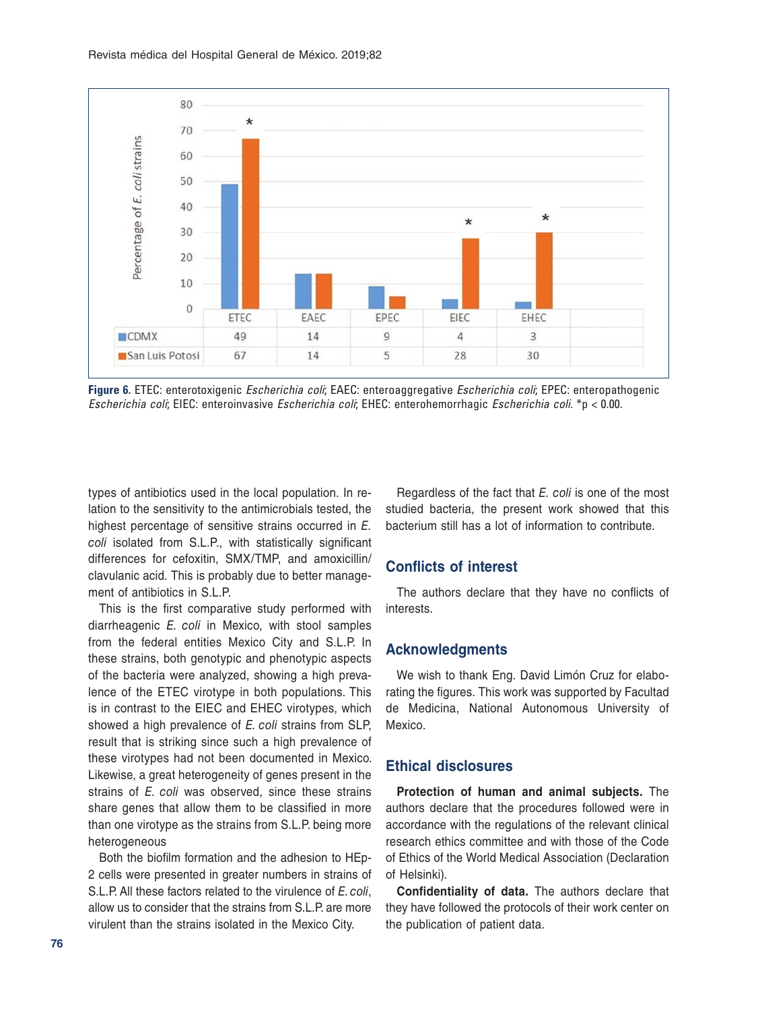<span id="page-9-0"></span>

**Figure 6.** ETEC: enterotoxigenic *Escherichia coli*; EAEC: enteroaggregative *Escherichia coli*; EPEC: enteropathogenic *Escherichia coli*; EIEC: enteroinvasive *Escherichia coli*; EHEC: enterohemorrhagic *Escherichia coli*. \*p < 0.00.

types of antibiotics used in the local population. In relation to the sensitivity to the antimicrobials tested, the highest percentage of sensitive strains occurred in *E. coli* isolated from S.L.P., with statistically significant differences for cefoxitin, SMX/TMP, and amoxicillin/ clavulanic acid. This is probably due to better management of antibiotics in S.L.P.

This is the first comparative study performed with diarrheagenic *E. coli* in Mexico, with stool samples from the federal entities Mexico City and S.L.P. In these strains, both genotypic and phenotypic aspects of the bacteria were analyzed, showing a high prevalence of the ETEC virotype in both populations. This is in contrast to the EIEC and EHEC virotypes, which showed a high prevalence of *E. coli* strains from SLP, result that is striking since such a high prevalence of these virotypes had not been documented in Mexico. Likewise, a great heterogeneity of genes present in the strains of *E. coli* was observed, since these strains share genes that allow them to be classified in more than one virotype as the strains from S.L.P. being more heterogeneous

Both the biofilm formation and the adhesion to HEp-2 cells were presented in greater numbers in strains of S.L.P. All these factors related to the virulence of *E. coli*, allow us to consider that the strains from S.L.P. are more virulent than the strains isolated in the Mexico City.

Regardless of the fact that *E. coli* is one of the most studied bacteria, the present work showed that this bacterium still has a lot of information to contribute.

# **Conflicts of interest**

The authors declare that they have no conflicts of interests.

#### **Acknowledgments**

We wish to thank Eng. David Limón Cruz for elaborating the figures. This work was supported by Facultad de Medicina, National Autonomous University of Mexico.

#### **Ethical disclosures**

**Protection of human and animal subjects.** The authors declare that the procedures followed were in accordance with the regulations of the relevant clinical research ethics committee and with those of the Code of Ethics of the World Medical Association (Declaration of Helsinki).

**Confidentiality of data.** The authors declare that they have followed the protocols of their work center on the publication of patient data.